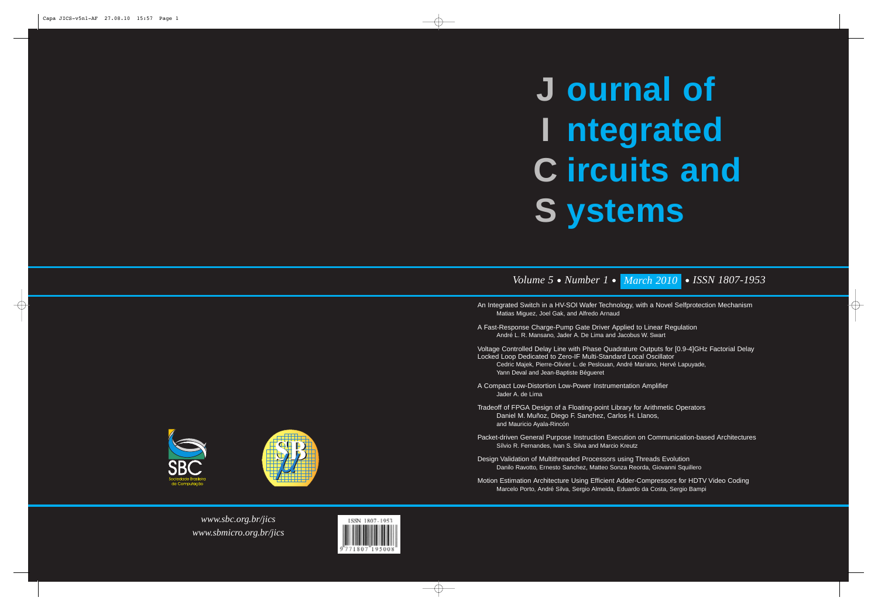*www.sbc.org.br/jics www.sbmicro.org.br/jics*



# **ournal of J ntegrated I ircuits and C ystems S**

## *Volume 5 • Number 1 • March 2010 • ISSN 1807-1953*

- An Integrated Switch in a HV-SOI Wafer Technology, with a Novel Selfprotection Mechanism Matias Miguez, Joel Gak, and Alfredo Arnaud
- A Fast-Response Charge-Pump Gate Driver Applied to Linear Regulation André L. R. Mansano, Jader A. De Lima and Jacobus W. Swart
- Voltage Controlled Delay Line with Phase Quadrature Outputs for [0.9-4]GHz Factorial Delay Locked Loop Dedicated to Zero-IF Multi-Standard Local Oscillator Cedric Majek, Pierre-Olivier L. de Peslouan, André Mariano, Hervé Lapuyade, Yann Deval and Jean-Baptiste Bégueret
- A Compact Low-Distortion Low-Power Instrumentation Amplifier Jader A. de Lima
- Tradeoff of FPGA Design of a Floating-point Library for Arithmetic Operators Daniel M. Muñoz, Diego F. Sanchez, Carlos H. Llanos, and Mauricio Ayala-Rincón
- Packet-driven General Purpose Instruction Execution on Communication-based Architectures Sílvio R. Fernandes, Ivan S. Silva and Marcio Kreutz
- Design Validation of Multithreaded Processors using Threads Evolution Danilo Ravotto, Ernesto Sanchez, Matteo Sonza Reorda, Giovanni Squillero
- Motion Estimation Architecture Using Efficient Adder-Compressors for HDTV Video Coding Marcelo Porto, André Silva, Sergio Almeida, Eduardo da Costa, Sergio Bampi



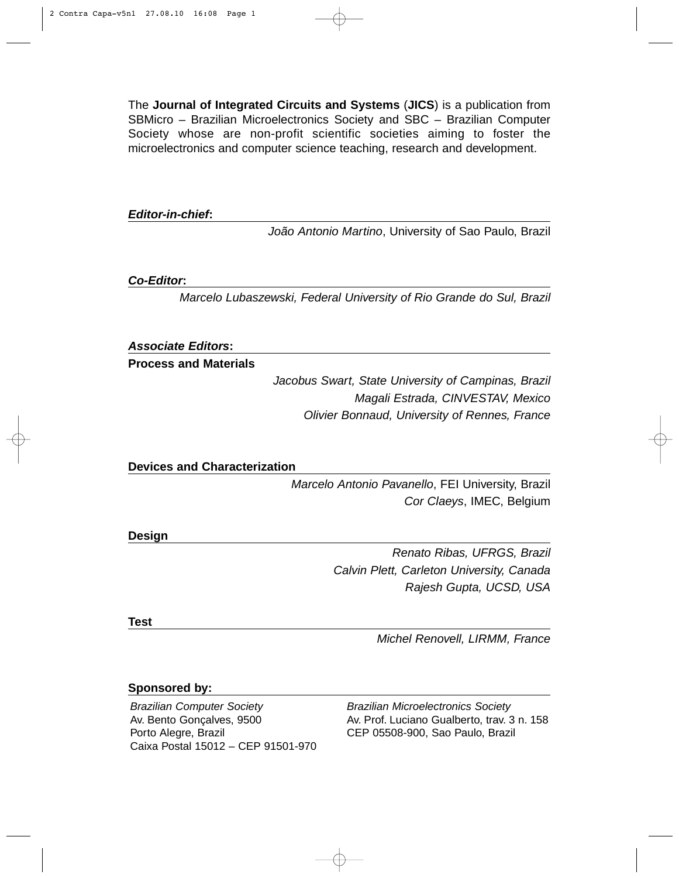The **Journal of Integrated Circuits and Systems** (**JICS**) is a publication from SBMicro – Brazilian Microelectronics Society and SBC – Brazilian Computer Society whose are non-profit scientific societies aiming to foster the microelectronics and computer science teaching, research and development.

*Editor-in-chief***:**

*João Antonio Martino*, University of Sao Paulo, Brazil

*Co-Editor***:**

*Marcelo Lubaszewski, Federal University of Rio Grande do Sul, Brazil*

*Associate Editors***:**

**Process and Materials**

*Jacobus Swart, State University of Campinas, Brazil Magali Estrada, CINVESTAV, Mexico Olivier Bonnaud, University of Rennes, France*

**Devices and Characterization**

*Marcelo Antonio Pavanello*, FEI University, Brazil *Cor Claeys*, IMEC, Belgium

**Design**

*Renato Ribas, UFRGS, Brazil Calvin Plett, Carleton University, Canada Rajesh Gupta, UCSD, USA*

**Test**

*Michel Renovell, LIRMM, France*

### **Sponsored by:**

*Brazilian Computer Society* Av. Bento Gonçalves, 9500 Porto Alegre, Brazil Caixa Postal 15012 – CEP 91501-970 *Brazilian Microelectronics Society* Av. Prof. Luciano Gualberto, trav. 3 n. 158 CEP 05508-900, Sao Paulo, Brazil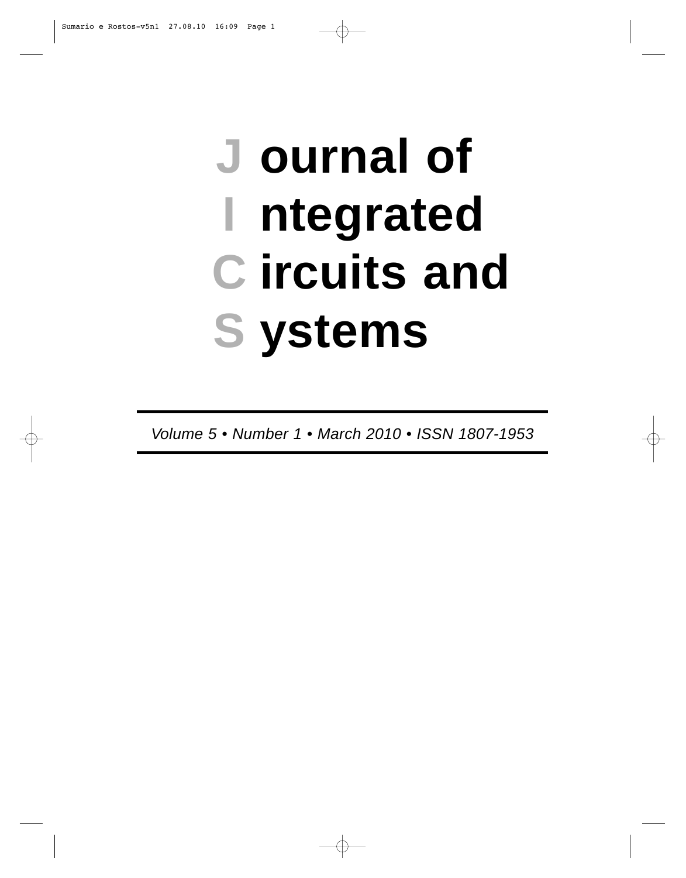## **ournal of J ntegrated I ircuits and C ystems S**

*Volume 5 • Number 1 • March 2010 • ISSN 1807-1953*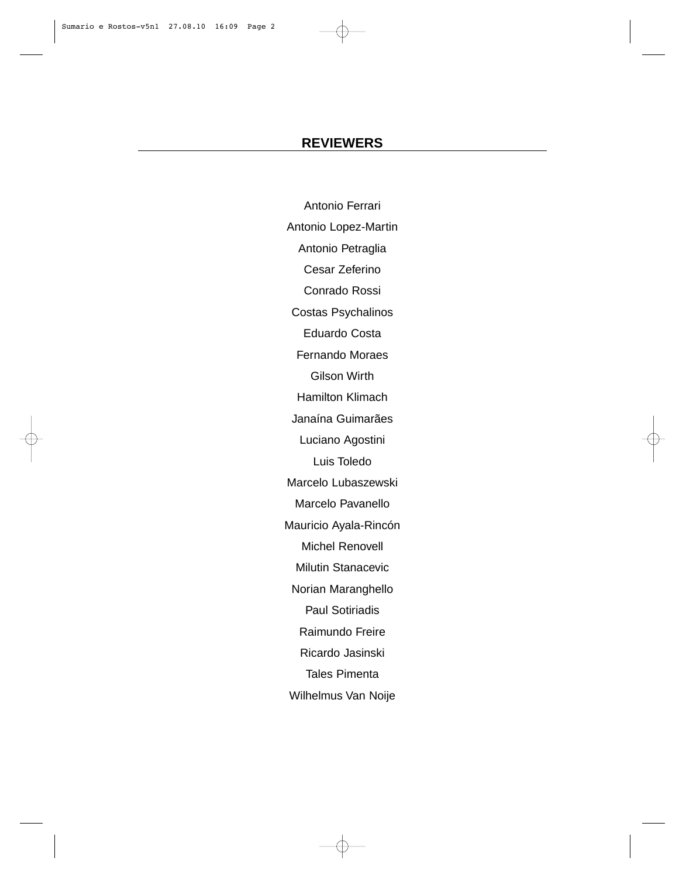### **REVIEWERS**

Antonio Ferrari Antonio Lopez-Martin Antonio Petraglia Cesar Zeferino Conrado Rossi Costas Psychalinos Eduardo Costa Fernando Moraes Gilson Wirth Hamilton Klimach Janaína Guimarães Luciano Agostini Luis Toledo Marcelo Lubaszewski Marcelo Pavanello Mauricio Ayala-Rincón Michel Renovell Milutin Stanacevic Norian Maranghello Paul Sotiriadis Raimundo Freire Ricardo Jasinski Tales Pimenta Wilhelmus Van Noije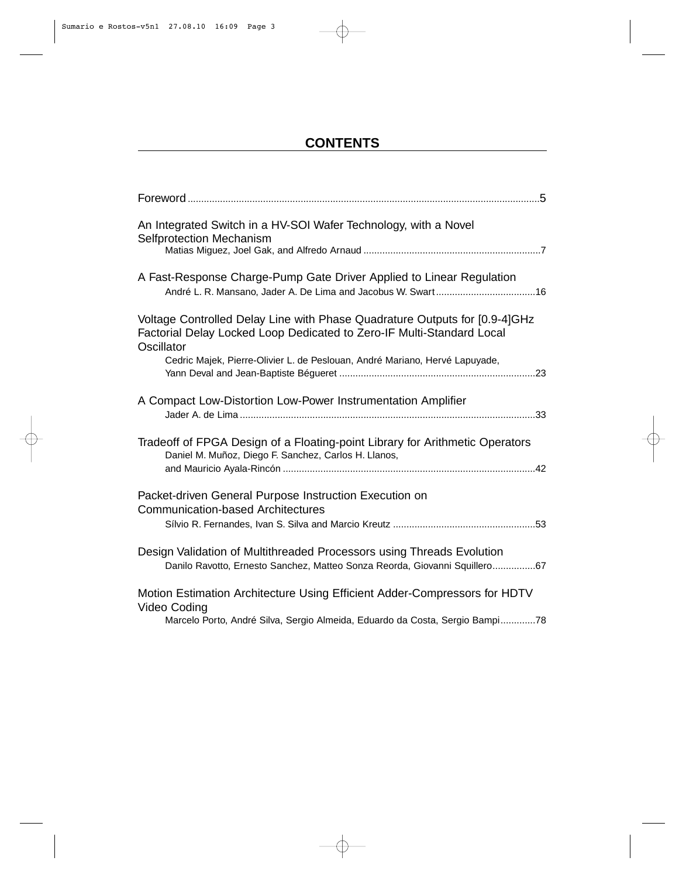## **CONTENTS**

| An Integrated Switch in a HV-SOI Wafer Technology, with a Novel<br>Selfprotection Mechanism                                                                               |
|---------------------------------------------------------------------------------------------------------------------------------------------------------------------------|
| A Fast-Response Charge-Pump Gate Driver Applied to Linear Regulation                                                                                                      |
| Voltage Controlled Delay Line with Phase Quadrature Outputs for [0.9-4]GHz<br>Factorial Delay Locked Loop Dedicated to Zero-IF Multi-Standard Local<br>Oscillator         |
| Cedric Majek, Pierre-Olivier L. de Peslouan, André Mariano, Hervé Lapuyade,                                                                                               |
| A Compact Low-Distortion Low-Power Instrumentation Amplifier                                                                                                              |
| Tradeoff of FPGA Design of a Floating-point Library for Arithmetic Operators<br>Daniel M. Muñoz, Diego F. Sanchez, Carlos H. Llanos,                                      |
| Packet-driven General Purpose Instruction Execution on<br><b>Communication-based Architectures</b>                                                                        |
| Design Validation of Multithreaded Processors using Threads Evolution<br>Danilo Ravotto, Ernesto Sanchez, Matteo Sonza Reorda, Giovanni Squillero67                       |
| Motion Estimation Architecture Using Efficient Adder-Compressors for HDTV<br>Video Coding<br>Marcelo Porto, André Silva, Sergio Almeida, Eduardo da Costa, Sergio Bampi78 |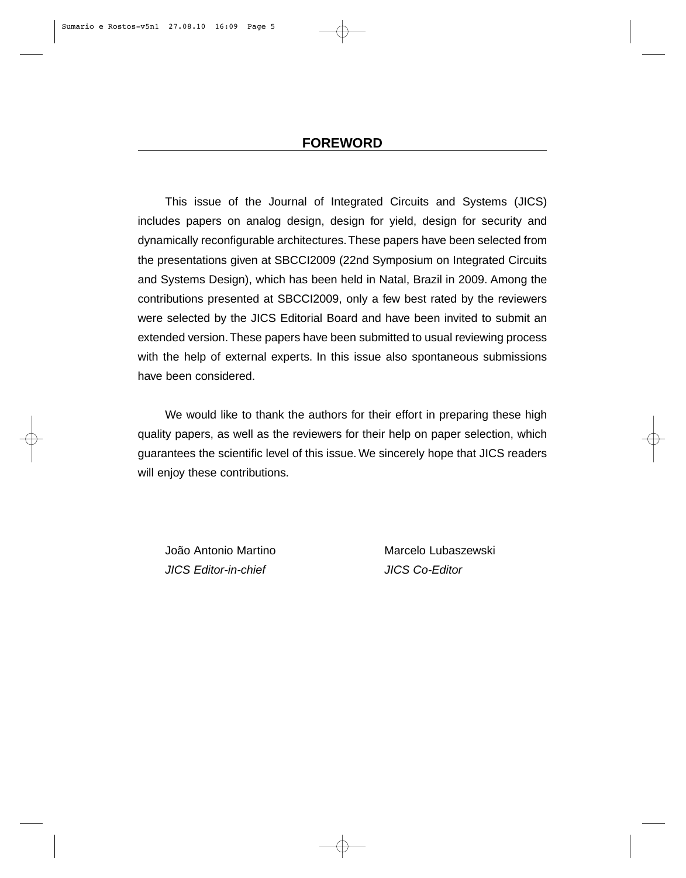This issue of the Journal of Integrated Circuits and Systems (JICS) includes papers on analog design, design for yield, design for security and dynamically reconfigurable architectures.These papers have been selected from the presentations given at SBCCI2009 (22nd Symposium on Integrated Circuits and Systems Design), which has been held in Natal, Brazil in 2009. Among the contributions presented at SBCCI2009, only a few best rated by the reviewers were selected by the JICS Editorial Board and have been invited to submit an extended version.These papers have been submitted to usual reviewing process with the help of external experts. In this issue also spontaneous submissions have been considered.

We would like to thank the authors for their effort in preparing these high quality papers, as well as the reviewers for their help on paper selection, which guarantees the scientific level of this issue. We sincerely hope that JICS readers will enjoy these contributions.

João Antonio Martino Marcelo Lubaszewski *JICS Editor-in-chief JICS Co-Editor*